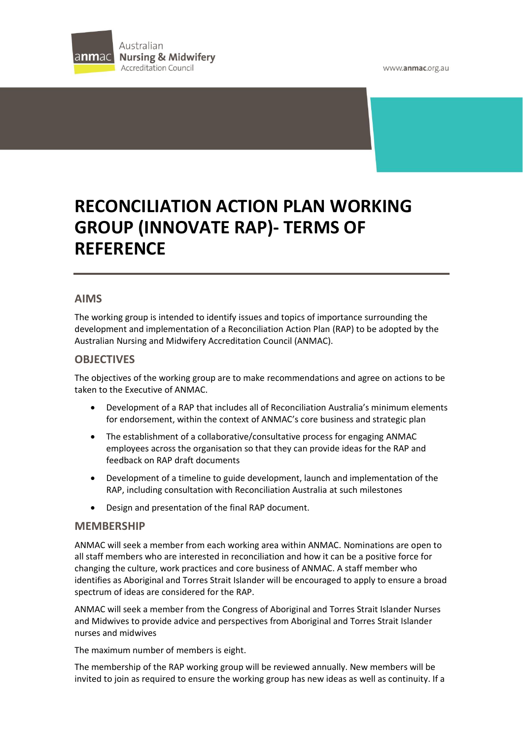



# **RECONCILIATION ACTION PLAN WORKING GROUP (INNOVATE RAP)- TERMS OF REFERENCE**

## **AIMS**

The working group is intended to identify issues and topics of importance surrounding the development and implementation of a Reconciliation Action Plan (RAP) to be adopted by the Australian Nursing and Midwifery Accreditation Council (ANMAC).

### **OBJECTIVES**

The objectives of the working group are to make recommendations and agree on actions to be taken to the Executive of ANMAC.

- Development of a RAP that includes all of Reconciliation Australia's minimum elements for endorsement, within the context of ANMAC's core business and strategic plan
- The establishment of a collaborative/consultative process for engaging ANMAC employees across the organisation so that they can provide ideas for the RAP and feedback on RAP draft documents
- Development of a timeline to guide development, launch and implementation of the RAP, including consultation with Reconciliation Australia at such milestones
- Design and presentation of the final RAP document.

#### **MEMBERSHIP**

ANMAC will seek a member from each working area within ANMAC. Nominations are open to all staff members who are interested in reconciliation and how it can be a positive force for changing the culture, work practices and core business of ANMAC. A staff member who identifies as Aboriginal and Torres Strait Islander will be encouraged to apply to ensure a broad spectrum of ideas are considered for the RAP.

ANMAC will seek a member from the Congress of Aboriginal and Torres Strait Islander Nurses and Midwives to provide advice and perspectives from Aboriginal and Torres Strait Islander nurses and midwives

The maximum number of members is eight.

The membership of the RAP working group will be reviewed annually. New members will be invited to join as required to ensure the working group has new ideas as well as continuity. If a